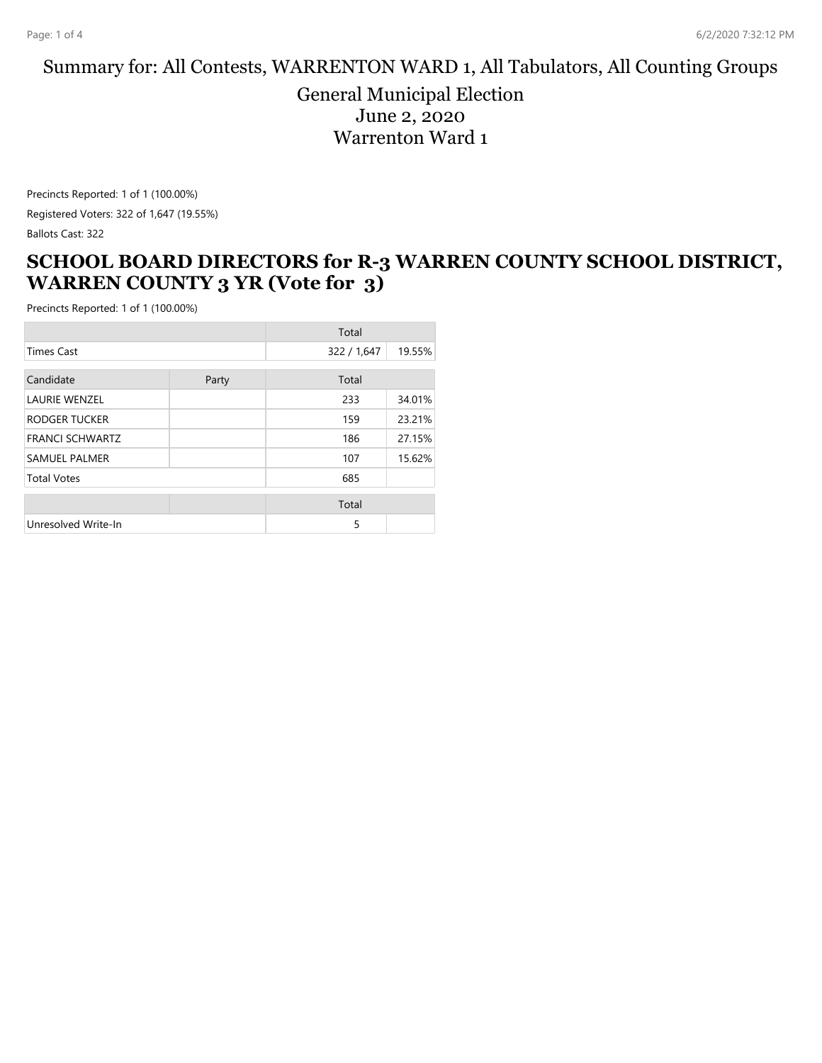### Summary for: All Contests, WARRENTON WARD 1, All Tabulators, All Counting Groups

General Municipal Election June 2, 2020 Warrenton Ward 1

Precincts Reported: 1 of 1 (100.00%) Registered Voters: 322 of 1,647 (19.55%) Ballots Cast: 322

### **SCHOOL BOARD DIRECTORS for R-3 WARREN COUNTY SCHOOL DISTRICT, WARREN COUNTY 3 YR (Vote for 3)**

|                        | Total |             |        |
|------------------------|-------|-------------|--------|
| <b>Times Cast</b>      |       | 322 / 1,647 | 19.55% |
| Candidate              | Party | Total       |        |
| <b>LAURIE WENZEL</b>   |       | 233         | 34.01% |
| RODGER TUCKER          |       | 159         | 23.21% |
| <b>FRANCI SCHWARTZ</b> |       | 186         | 27.15% |
| <b>SAMUEL PALMER</b>   |       | 107         | 15.62% |
| <b>Total Votes</b>     |       | 685         |        |
|                        |       | Total       |        |
| Unresolved Write-In    |       | 5           |        |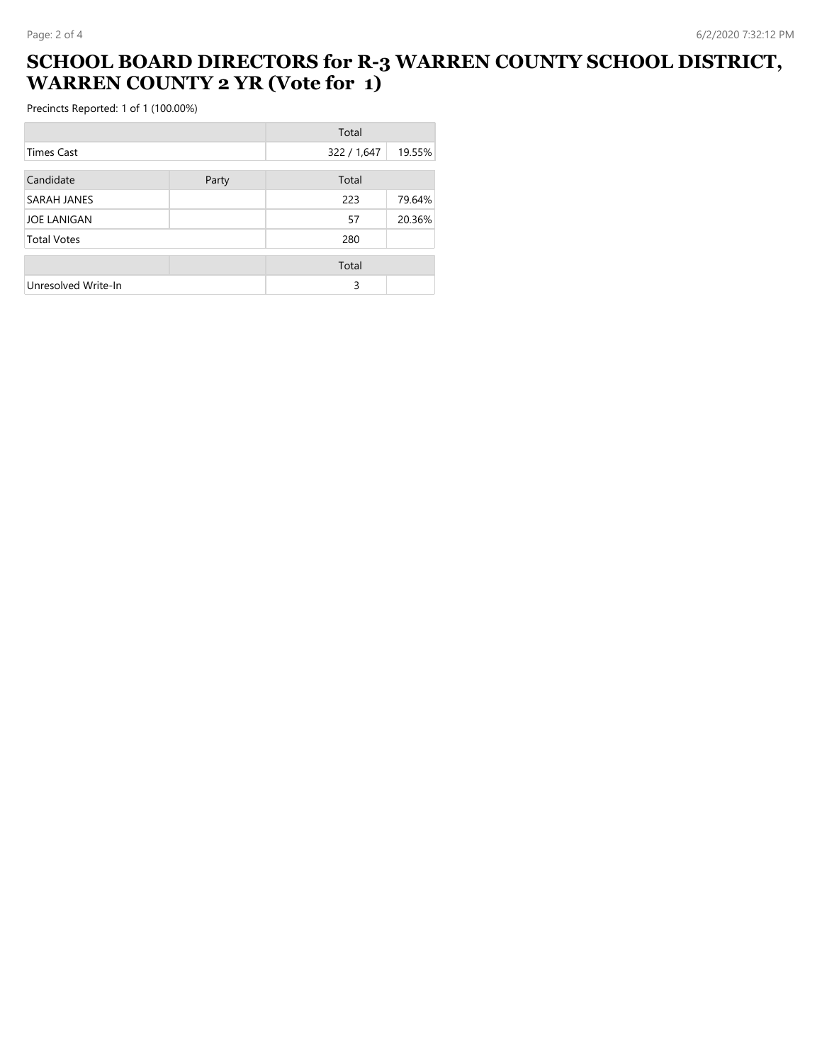### **SCHOOL BOARD DIRECTORS for R-3 WARREN COUNTY SCHOOL DISTRICT, WARREN COUNTY 2 YR (Vote for 1)**

|                     |       | Total       |        |
|---------------------|-------|-------------|--------|
| Times Cast          |       | 322 / 1,647 | 19.55% |
| Candidate           | Party | Total       |        |
| SARAH JANES         |       | 223         | 79.64% |
| <b>JOE LANIGAN</b>  |       | 57          | 20.36% |
| <b>Total Votes</b>  |       | 280         |        |
|                     |       |             |        |
|                     |       | Total       |        |
| Unresolved Write-In |       | 3           |        |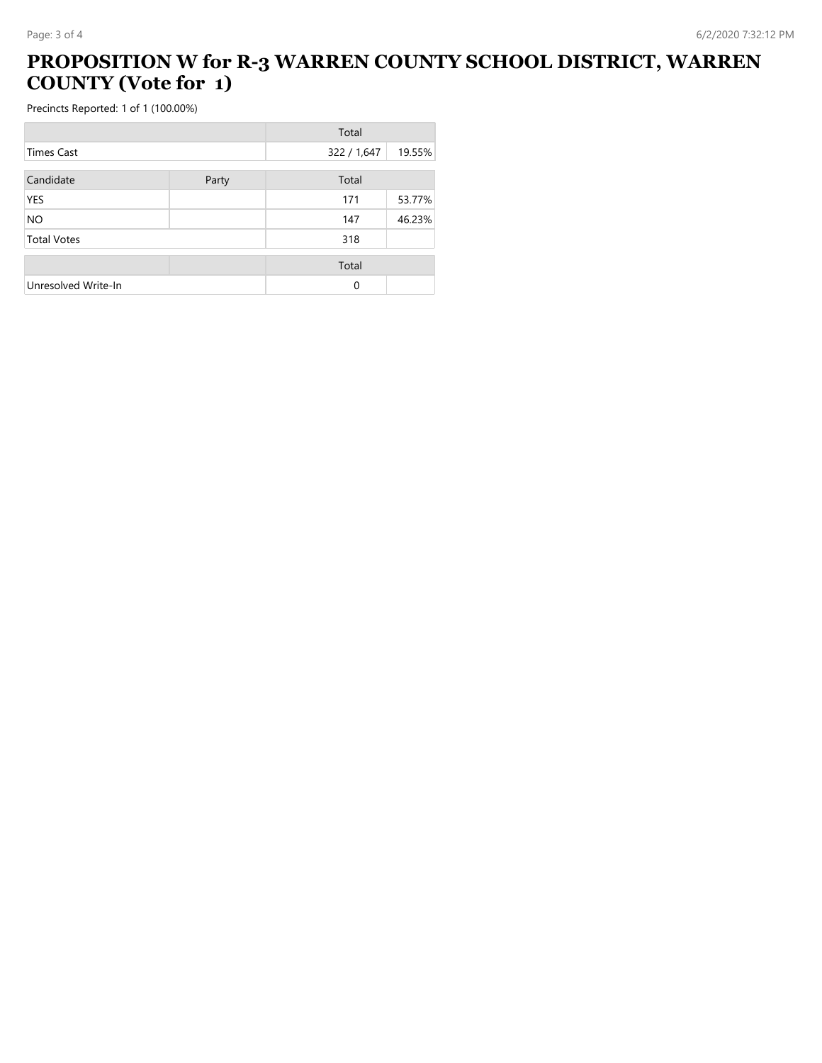# **PROPOSITION W for R-3 WARREN COUNTY SCHOOL DISTRICT, WARREN COUNTY (Vote for 1)**

|                     |       | Total       |        |
|---------------------|-------|-------------|--------|
| <b>Times Cast</b>   |       | 322 / 1,647 | 19.55% |
|                     |       |             |        |
| Candidate           | Party | Total       |        |
| <b>YES</b>          |       | 171         | 53.77% |
| <b>NO</b>           |       | 147         | 46.23% |
| <b>Total Votes</b>  |       | 318         |        |
|                     |       | Total       |        |
| Unresolved Write-In |       | $\Omega$    |        |